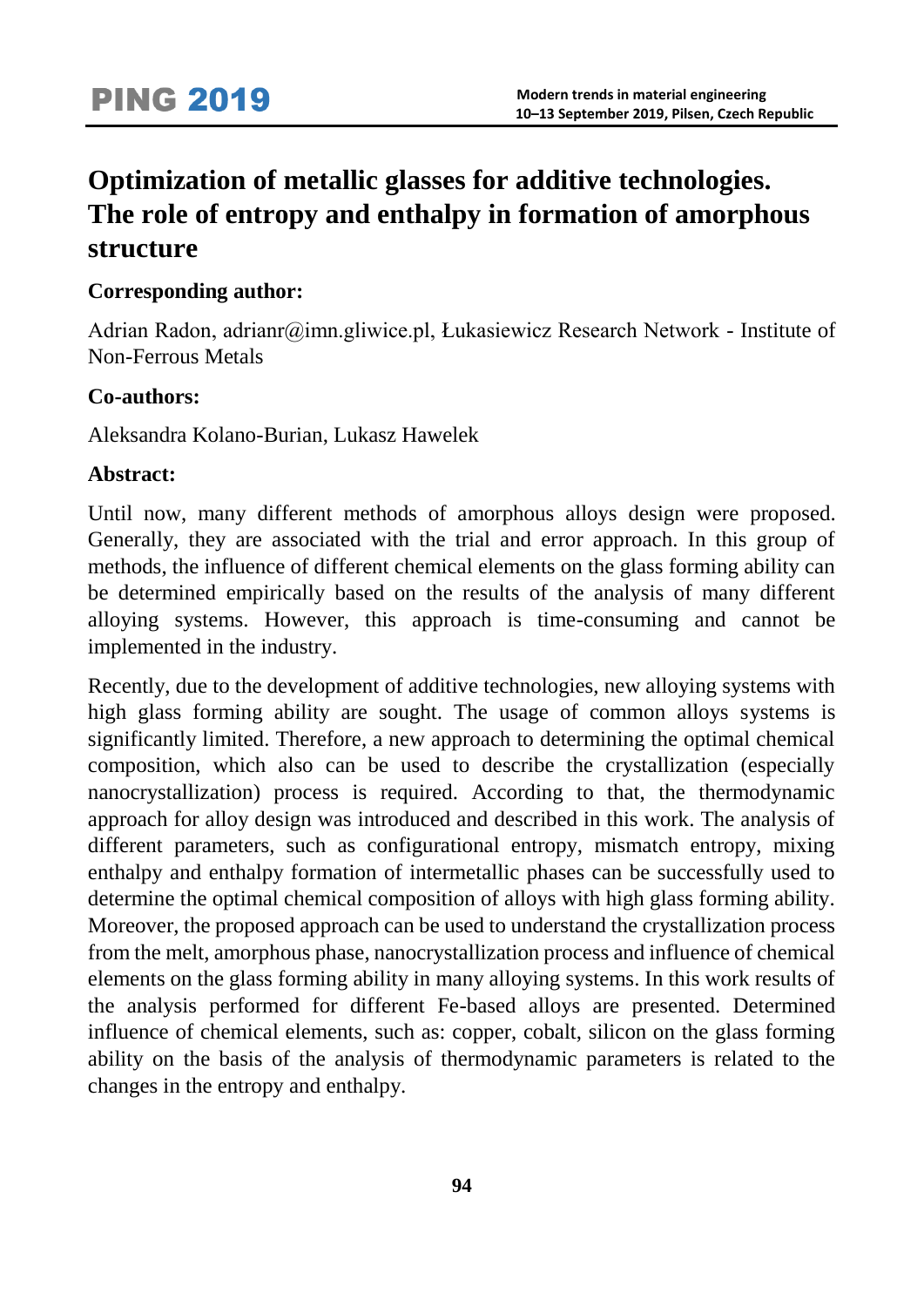# **Optimization of metallic glasses for additive technologies. The role of entropy and enthalpy in formation of amorphous structure**

### **Corresponding author:**

Adrian Radon, adrianr@imn.gliwice.pl, Łukasiewicz Research Network - Institute of Non-Ferrous Metals

### **Co-authors:**

Aleksandra Kolano-Burian, Lukasz Hawelek

### **Abstract:**

Until now, many different methods of amorphous alloys design were proposed. Generally, they are associated with the trial and error approach. In this group of methods, the influence of different chemical elements on the glass forming ability can be determined empirically based on the results of the analysis of many different alloying systems. However, this approach is time-consuming and cannot be implemented in the industry.

Recently, due to the development of additive technologies, new alloying systems with high glass forming ability are sought. The usage of common alloys systems is significantly limited. Therefore, a new approach to determining the optimal chemical composition, which also can be used to describe the crystallization (especially nanocrystallization) process is required. According to that, the thermodynamic approach for alloy design was introduced and described in this work. The analysis of different parameters, such as configurational entropy, mismatch entropy, mixing enthalpy and enthalpy formation of intermetallic phases can be successfully used to determine the optimal chemical composition of alloys with high glass forming ability. Moreover, the proposed approach can be used to understand the crystallization process from the melt, amorphous phase, nanocrystallization process and influence of chemical elements on the glass forming ability in many alloying systems. In this work results of the analysis performed for different Fe-based alloys are presented. Determined influence of chemical elements, such as: copper, cobalt, silicon on the glass forming ability on the basis of the analysis of thermodynamic parameters is related to the changes in the entropy and enthalpy.